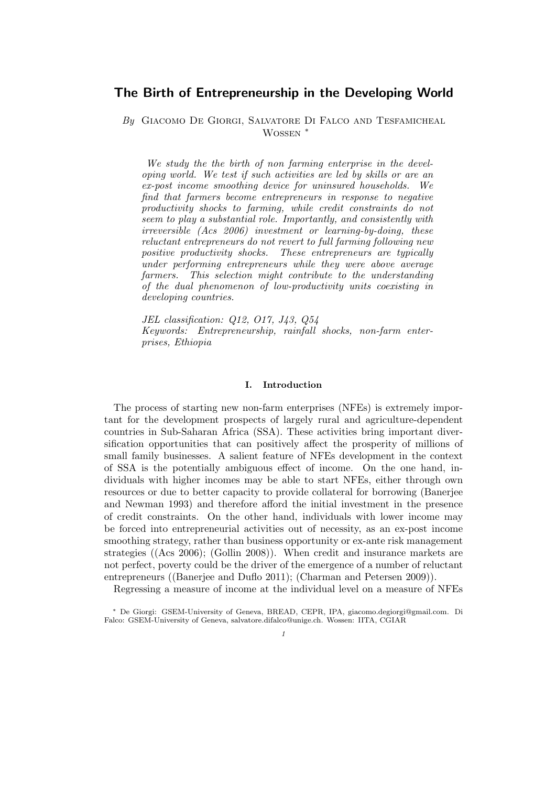# The Birth of Entrepreneurship in the Developing World

By GIACOMO DE GIORGI, SALVATORE DI FALCO AND TESFAMICHEAL Wossen ∗

We study the the birth of non farming enterprise in the developing world. We test if such activities are led by skills or are an ex-post income smoothing device for uninsured households. We find that farmers become entrepreneurs in response to negative productivity shocks to farming, while credit constraints do not seem to play a substantial role. Importantly, and consistently with irreversible (Acs 2006) investment or learning-by-doing, these reluctant entrepreneurs do not revert to full farming following new positive productivity shocks. These entrepreneurs are typically under performing entrepreneurs while they were above average farmers. This selection might contribute to the understanding of the dual phenomenon of low-productivity units coexisting in developing countries.

JEL classification: Q12, O17, J43, Q54 Keywords: Entrepreneurship, rainfall shocks, non-farm enterprises, Ethiopia

### I. Introduction

The process of starting new non-farm enterprises (NFEs) is extremely important for the development prospects of largely rural and agriculture-dependent countries in Sub-Saharan Africa (SSA). These activities bring important diversification opportunities that can positively affect the prosperity of millions of small family businesses. A salient feature of NFEs development in the context of SSA is the potentially ambiguous effect of income. On the one hand, individuals with higher incomes may be able to start NFEs, either through own resources or due to better capacity to provide collateral for borrowing (Banerjee and Newman 1993) and therefore afford the initial investment in the presence of credit constraints. On the other hand, individuals with lower income may be forced into entrepreneurial activities out of necessity, as an ex-post income smoothing strategy, rather than business opportunity or ex-ante risk management strategies ((Acs 2006); (Gollin 2008)). When credit and insurance markets are not perfect, poverty could be the driver of the emergence of a number of reluctant entrepreneurs ((Banerjee and Duflo 2011); (Charman and Petersen 2009)).

Regressing a measure of income at the individual level on a measure of NFEs

<sup>∗</sup> De Giorgi: GSEM-University of Geneva, BREAD, CEPR, IPA, giacomo.degiorgi@gmail.com. Di Falco: GSEM-University of Geneva, salvatore.difalco@unige.ch. Wossen: IITA, CGIAR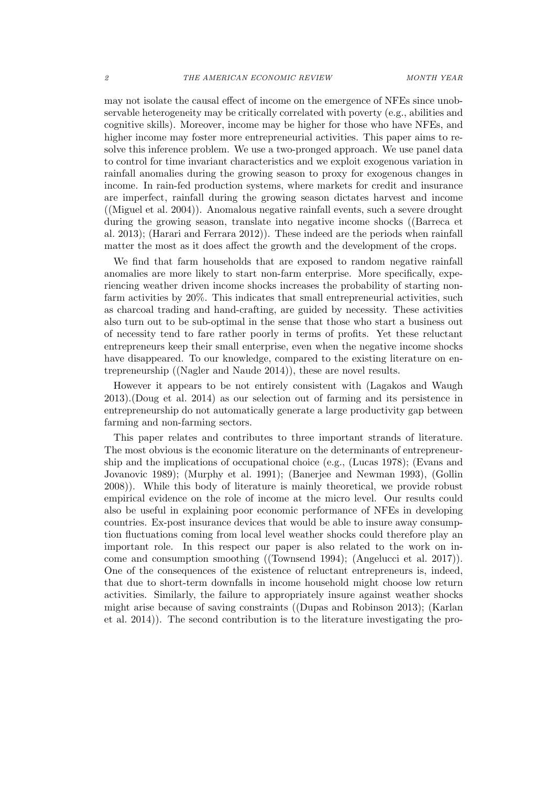may not isolate the causal effect of income on the emergence of NFEs since unobservable heterogeneity may be critically correlated with poverty (e.g., abilities and cognitive skills). Moreover, income may be higher for those who have NFEs, and higher income may foster more entrepreneurial activities. This paper aims to resolve this inference problem. We use a two-pronged approach. We use panel data to control for time invariant characteristics and we exploit exogenous variation in rainfall anomalies during the growing season to proxy for exogenous changes in income. In rain-fed production systems, where markets for credit and insurance are imperfect, rainfall during the growing season dictates harvest and income ((Miguel et al. 2004)). Anomalous negative rainfall events, such a severe drought during the growing season, translate into negative income shocks ((Barreca et al. 2013); (Harari and Ferrara 2012)). These indeed are the periods when rainfall matter the most as it does affect the growth and the development of the crops.

We find that farm households that are exposed to random negative rainfall anomalies are more likely to start non-farm enterprise. More specifically, experiencing weather driven income shocks increases the probability of starting nonfarm activities by 20%. This indicates that small entrepreneurial activities, such as charcoal trading and hand-crafting, are guided by necessity. These activities also turn out to be sub-optimal in the sense that those who start a business out of necessity tend to fare rather poorly in terms of profits. Yet these reluctant entrepreneurs keep their small enterprise, even when the negative income shocks have disappeared. To our knowledge, compared to the existing literature on entrepreneurship ((Nagler and Naude 2014)), these are novel results.

However it appears to be not entirely consistent with (Lagakos and Waugh 2013).(Doug et al. 2014) as our selection out of farming and its persistence in entrepreneurship do not automatically generate a large productivity gap between farming and non-farming sectors.

This paper relates and contributes to three important strands of literature. The most obvious is the economic literature on the determinants of entrepreneurship and the implications of occupational choice (e.g., (Lucas 1978); (Evans and Jovanovic 1989); (Murphy et al. 1991); (Banerjee and Newman 1993), (Gollin 2008)). While this body of literature is mainly theoretical, we provide robust empirical evidence on the role of income at the micro level. Our results could also be useful in explaining poor economic performance of NFEs in developing countries. Ex-post insurance devices that would be able to insure away consumption fluctuations coming from local level weather shocks could therefore play an important role. In this respect our paper is also related to the work on income and consumption smoothing ((Townsend 1994); (Angelucci et al. 2017)). One of the consequences of the existence of reluctant entrepreneurs is, indeed, that due to short-term downfalls in income household might choose low return activities. Similarly, the failure to appropriately insure against weather shocks might arise because of saving constraints ((Dupas and Robinson 2013); (Karlan et al. 2014)). The second contribution is to the literature investigating the pro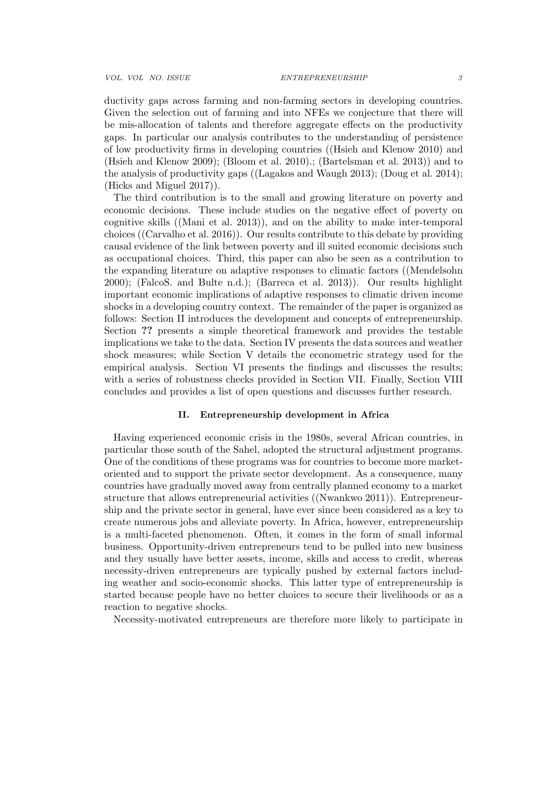VOL. VOL NO. ISSUE **ENTREPRENEURSHIP** 3

ductivity gaps across farming and non-farming sectors in developing countries. Given the selection out of farming and into NFEs we conjecture that there will be mis-allocation of talents and therefore aggregate effects on the productivity gaps. In particular our analysis contributes to the understanding of persistence of low productivity firms in developing countries ((Hsieh and Klenow 2010) and (Hsieh and Klenow 2009); (Bloom et al. 2010).; (Bartelsman et al. 2013)) and to the analysis of productivity gaps ((Lagakos and Waugh 2013); (Doug et al. 2014); (Hicks and Miguel 2017)).

The third contribution is to the small and growing literature on poverty and economic decisions. These include studies on the negative effect of poverty on cognitive skills ((Mani et al. 2013)), and on the ability to make inter-temporal choices ((Carvalho et al. 2016)). Our results contribute to this debate by providing causal evidence of the link between poverty and ill suited economic decisions such as occupational choices. Third, this paper can also be seen as a contribution to the expanding literature on adaptive responses to climatic factors ((Mendelsohn 2000); (FalcoS. and Bulte n.d.); (Barreca et al. 2013)). Our results highlight important economic implications of adaptive responses to climatic driven income shocks in a developing country context. The remainder of the paper is organized as follows: Section II introduces the development and concepts of entrepreneurship. Section ?? presents a simple theoretical framework and provides the testable implications we take to the data. Section IV presents the data sources and weather shock measures; while Section V details the econometric strategy used for the empirical analysis. Section VI presents the findings and discusses the results; with a series of robustness checks provided in Section VII. Finally, Section VIII concludes and provides a list of open questions and discusses further research.

# II. Entrepreneurship development in Africa

Having experienced economic crisis in the 1980s, several African countries, in particular those south of the Sahel, adopted the structural adjustment programs. One of the conditions of these programs was for countries to become more marketoriented and to support the private sector development. As a consequence, many countries have gradually moved away from centrally planned economy to a market structure that allows entrepreneurial activities ((Nwankwo 2011)). Entrepreneurship and the private sector in general, have ever since been considered as a key to create numerous jobs and alleviate poverty. In Africa, however, entrepreneurship is a multi-faceted phenomenon. Often, it comes in the form of small informal business. Opportunity-driven entrepreneurs tend to be pulled into new business and they usually have better assets, income, skills and access to credit, whereas necessity-driven entrepreneurs are typically pushed by external factors including weather and socio-economic shocks. This latter type of entrepreneurship is started because people have no better choices to secure their livelihoods or as a reaction to negative shocks.

Necessity-motivated entrepreneurs are therefore more likely to participate in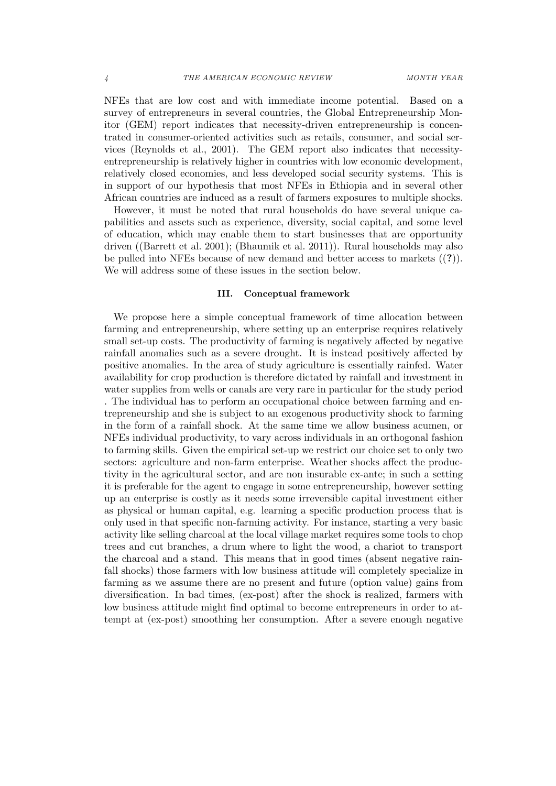NFEs that are low cost and with immediate income potential. Based on a survey of entrepreneurs in several countries, the Global Entrepreneurship Monitor (GEM) report indicates that necessity-driven entrepreneurship is concentrated in consumer-oriented activities such as retails, consumer, and social services (Reynolds et al., 2001). The GEM report also indicates that necessityentrepreneurship is relatively higher in countries with low economic development, relatively closed economies, and less developed social security systems. This is in support of our hypothesis that most NFEs in Ethiopia and in several other African countries are induced as a result of farmers exposures to multiple shocks.

However, it must be noted that rural households do have several unique capabilities and assets such as experience, diversity, social capital, and some level of education, which may enable them to start businesses that are opportunity driven ((Barrett et al. 2001); (Bhaumik et al. 2011)). Rural households may also be pulled into NFEs because of new demand and better access to markets ((?)). We will address some of these issues in the section below.

# III. Conceptual framework

We propose here a simple conceptual framework of time allocation between farming and entrepreneurship, where setting up an enterprise requires relatively small set-up costs. The productivity of farming is negatively affected by negative rainfall anomalies such as a severe drought. It is instead positively affected by positive anomalies. In the area of study agriculture is essentially rainfed. Water availability for crop production is therefore dictated by rainfall and investment in water supplies from wells or canals are very rare in particular for the study period . The individual has to perform an occupational choice between farming and entrepreneurship and she is subject to an exogenous productivity shock to farming in the form of a rainfall shock. At the same time we allow business acumen, or NFEs individual productivity, to vary across individuals in an orthogonal fashion to farming skills. Given the empirical set-up we restrict our choice set to only two sectors: agriculture and non-farm enterprise. Weather shocks affect the productivity in the agricultural sector, and are non insurable ex-ante; in such a setting it is preferable for the agent to engage in some entrepreneurship, however setting up an enterprise is costly as it needs some irreversible capital investment either as physical or human capital, e.g. learning a specific production process that is only used in that specific non-farming activity. For instance, starting a very basic activity like selling charcoal at the local village market requires some tools to chop trees and cut branches, a drum where to light the wood, a chariot to transport the charcoal and a stand. This means that in good times (absent negative rainfall shocks) those farmers with low business attitude will completely specialize in farming as we assume there are no present and future (option value) gains from diversification. In bad times, (ex-post) after the shock is realized, farmers with low business attitude might find optimal to become entrepreneurs in order to attempt at (ex-post) smoothing her consumption. After a severe enough negative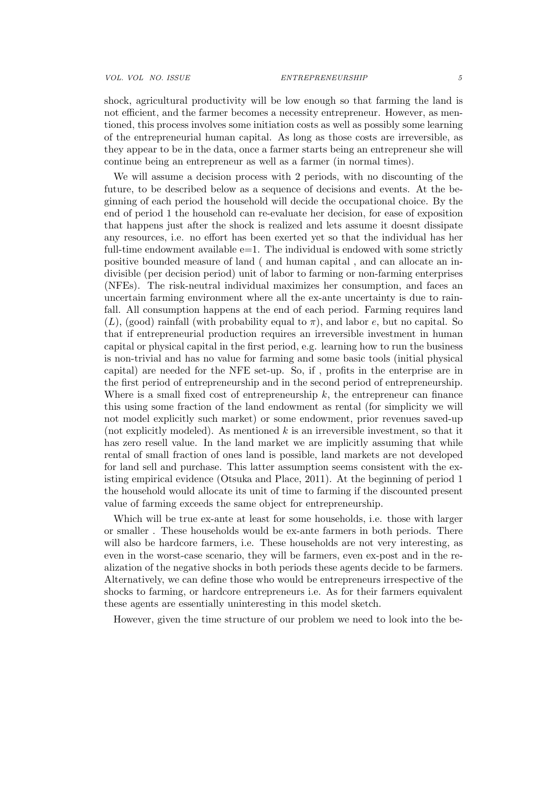shock, agricultural productivity will be low enough so that farming the land is not efficient, and the farmer becomes a necessity entrepreneur. However, as mentioned, this process involves some initiation costs as well as possibly some learning of the entrepreneurial human capital. As long as those costs are irreversible, as they appear to be in the data, once a farmer starts being an entrepreneur she will continue being an entrepreneur as well as a farmer (in normal times).

We will assume a decision process with 2 periods, with no discounting of the future, to be described below as a sequence of decisions and events. At the beginning of each period the household will decide the occupational choice. By the end of period 1 the household can re-evaluate her decision, for ease of exposition that happens just after the shock is realized and lets assume it doesnt dissipate any resources, i.e. no effort has been exerted yet so that the individual has her full-time endowment available  $e=1$ . The individual is endowed with some strictly positive bounded measure of land ( and human capital , and can allocate an indivisible (per decision period) unit of labor to farming or non-farming enterprises (NFEs). The risk-neutral individual maximizes her consumption, and faces an uncertain farming environment where all the ex-ante uncertainty is due to rainfall. All consumption happens at the end of each period. Farming requires land  $(L)$ , (good) rainfall (with probability equal to  $\pi$ ), and labor e, but no capital. So that if entrepreneurial production requires an irreversible investment in human capital or physical capital in the first period, e.g. learning how to run the business is non-trivial and has no value for farming and some basic tools (initial physical capital) are needed for the NFE set-up. So, if , profits in the enterprise are in the first period of entrepreneurship and in the second period of entrepreneurship. Where is a small fixed cost of entrepreneurship  $k$ , the entrepreneur can finance this using some fraction of the land endowment as rental (for simplicity we will not model explicitly such market) or some endowment, prior revenues saved-up (not explicitly modeled). As mentioned  $k$  is an irreversible investment, so that it has zero resell value. In the land market we are implicitly assuming that while rental of small fraction of ones land is possible, land markets are not developed for land sell and purchase. This latter assumption seems consistent with the existing empirical evidence (Otsuka and Place, 2011). At the beginning of period 1 the household would allocate its unit of time to farming if the discounted present value of farming exceeds the same object for entrepreneurship.

Which will be true ex-ante at least for some households, i.e. those with larger or smaller . These households would be ex-ante farmers in both periods. There will also be hardcore farmers, i.e. These households are not very interesting, as even in the worst-case scenario, they will be farmers, even ex-post and in the realization of the negative shocks in both periods these agents decide to be farmers. Alternatively, we can define those who would be entrepreneurs irrespective of the shocks to farming, or hardcore entrepreneurs i.e. As for their farmers equivalent these agents are essentially uninteresting in this model sketch.

However, given the time structure of our problem we need to look into the be-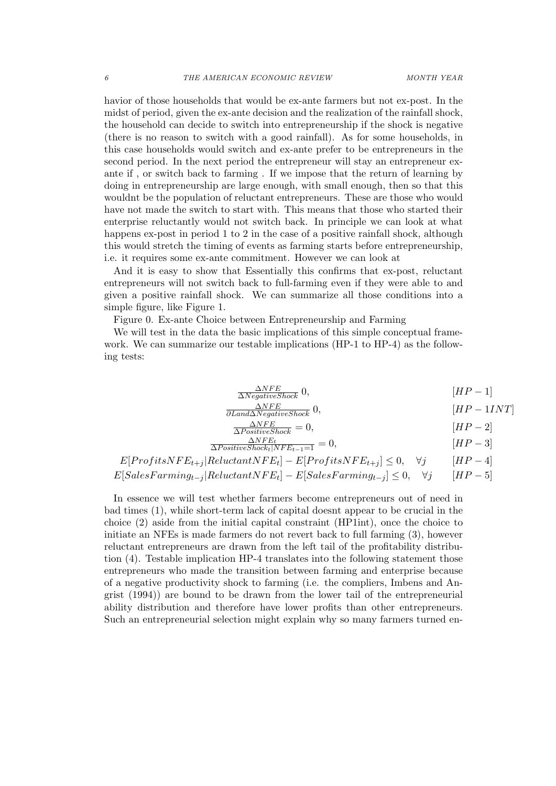havior of those households that would be ex-ante farmers but not ex-post. In the midst of period, given the ex-ante decision and the realization of the rainfall shock, the household can decide to switch into entrepreneurship if the shock is negative (there is no reason to switch with a good rainfall). As for some households, in this case households would switch and ex-ante prefer to be entrepreneurs in the second period. In the next period the entrepreneur will stay an entrepreneur exante if , or switch back to farming . If we impose that the return of learning by doing in entrepreneurship are large enough, with small enough, then so that this wouldnt be the population of reluctant entrepreneurs. These are those who would have not made the switch to start with. This means that those who started their enterprise reluctantly would not switch back. In principle we can look at what happens ex-post in period 1 to 2 in the case of a positive rainfall shock, although this would stretch the timing of events as farming starts before entrepreneurship, i.e. it requires some ex-ante commitment. However we can look at

And it is easy to show that Essentially this confirms that ex-post, reluctant entrepreneurs will not switch back to full-farming even if they were able to and given a positive rainfall shock. We can summarize all those conditions into a simple figure, like Figure 1.

Figure 0. Ex-ante Choice between Entrepreneurship and Farming

We will test in the data the basic implications of this simple conceptual framework. We can summarize our testable implications (HP-1 to HP-4) as the following tests:

$$
\frac{\Delta NFE}{\Delta Negative Shock} \quad 0,
$$
\n[*HP* - 1]

$$
\frac{\Delta NFE}{\partial Land\Delta NegativeShock} \quad 0,
$$
\n[*HP* - 1*INT*]

$$
\frac{\Delta NFE}{\Delta Positive Shock} = 0, \qquad [HP - 2]
$$

$$
\frac{\Delta NFE_t}{\Delta Positive Shock_t|NFE_{t-1}=1} = 0, \qquad [HP-3]
$$

$$
E[ProfitsNFE_{t+j} | \\ ReluctantNFE_t] - E[ProfitsNFE_{t+j}] \le 0, \quad \forall j \qquad [HP-4]
$$

$$
E[SalesFarming_{t-j} | Reluctant NFE_t] - E[ SalesFarming_{t-j}] \le 0, \quad \forall j \qquad [HP-5]
$$

In essence we will test whether farmers become entrepreneurs out of need in bad times (1), while short-term lack of capital doesnt appear to be crucial in the choice (2) aside from the initial capital constraint (HP1int), once the choice to initiate an NFEs is made farmers do not revert back to full farming (3), however reluctant entrepreneurs are drawn from the left tail of the profitability distribution (4). Testable implication HP-4 translates into the following statement those entrepreneurs who made the transition between farming and enterprise because of a negative productivity shock to farming (i.e. the compliers, Imbens and Angrist (1994)) are bound to be drawn from the lower tail of the entrepreneurial ability distribution and therefore have lower profits than other entrepreneurs. Such an entrepreneurial selection might explain why so many farmers turned en-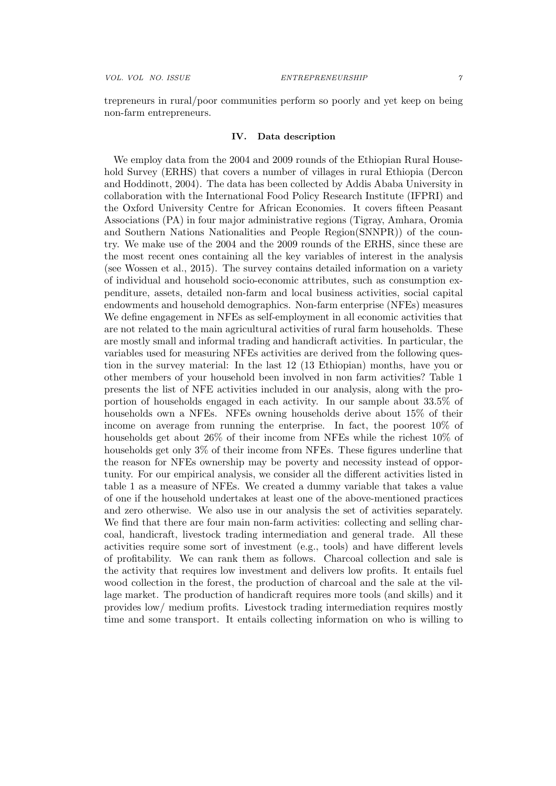trepreneurs in rural/poor communities perform so poorly and yet keep on being non-farm entrepreneurs.

# IV. Data description

We employ data from the 2004 and 2009 rounds of the Ethiopian Rural Household Survey (ERHS) that covers a number of villages in rural Ethiopia (Dercon and Hoddinott, 2004). The data has been collected by Addis Ababa University in collaboration with the International Food Policy Research Institute (IFPRI) and the Oxford University Centre for African Economies. It covers fifteen Peasant Associations (PA) in four major administrative regions (Tigray, Amhara, Oromia and Southern Nations Nationalities and People Region(SNNPR)) of the country. We make use of the 2004 and the 2009 rounds of the ERHS, since these are the most recent ones containing all the key variables of interest in the analysis (see Wossen et al., 2015). The survey contains detailed information on a variety of individual and household socio-economic attributes, such as consumption expenditure, assets, detailed non-farm and local business activities, social capital endowments and household demographics. Non-farm enterprise (NFEs) measures We define engagement in NFEs as self-employment in all economic activities that are not related to the main agricultural activities of rural farm households. These are mostly small and informal trading and handicraft activities. In particular, the variables used for measuring NFEs activities are derived from the following question in the survey material: In the last 12 (13 Ethiopian) months, have you or other members of your household been involved in non farm activities? Table 1 presents the list of NFE activities included in our analysis, along with the proportion of households engaged in each activity. In our sample about 33.5% of households own a NFEs. NFEs owning households derive about 15% of their income on average from running the enterprise. In fact, the poorest 10% of households get about 26% of their income from NFEs while the richest 10% of households get only 3% of their income from NFEs. These figures underline that the reason for NFEs ownership may be poverty and necessity instead of opportunity. For our empirical analysis, we consider all the different activities listed in table 1 as a measure of NFEs. We created a dummy variable that takes a value of one if the household undertakes at least one of the above-mentioned practices and zero otherwise. We also use in our analysis the set of activities separately. We find that there are four main non-farm activities: collecting and selling charcoal, handicraft, livestock trading intermediation and general trade. All these activities require some sort of investment (e.g., tools) and have different levels of profitability. We can rank them as follows. Charcoal collection and sale is the activity that requires low investment and delivers low profits. It entails fuel wood collection in the forest, the production of charcoal and the sale at the village market. The production of handicraft requires more tools (and skills) and it provides low/ medium profits. Livestock trading intermediation requires mostly time and some transport. It entails collecting information on who is willing to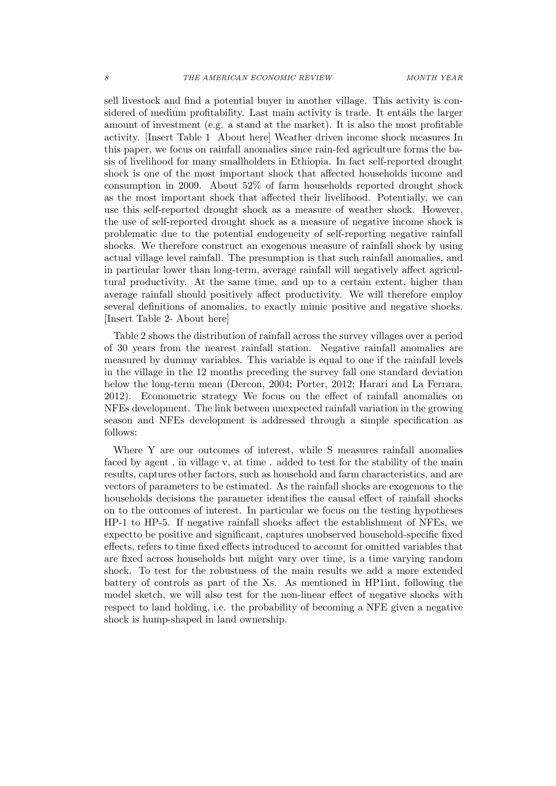sell livestock and find a potential buyer in another village. This activity is considered of medium profitability. Last main activity is trade. It entails the larger amount of investment (e.g. a stand at the market). It is also the most profitable activity. [Insert Table 1 About here] Weather driven income shock measures In this paper, we focus on rainfall anomalies since rain-fed agriculture forms the basis of livelihood for many smallholders in Ethiopia. In fact self-reported drought shock is one of the most important shock that affected households income and consumption in 2009. About 52% of farm households reported drought shock as the most important shock that affected their livelihood. Potentially, we can use this self-reported drought shock as a measure of weather shock. However, the use of self-reported drought shock as a measure of negative income shock is problematic due to the potential endogeneity of self-reporting negative rainfall shocks. We therefore construct an exogenous measure of rainfall shock by using actual village level rainfall. The presumption is that such rainfall anomalies, and in particular lower than long-term, average rainfall will negatively affect agricultural productivity. At the same time, and up to a certain extent, higher than average rainfall should positively affect productivity. We will therefore employ several definitions of anomalies, to exactly mimic positive and negative shocks. [Insert Table 2- About here]

Table 2 shows the distribution of rainfall across the survey villages over a period of 30 years from the nearest rainfall station. Negative rainfall anomalies are measured by dummy variables. This variable is equal to one if the rainfall levels in the village in the 12 months preceding the survey fall one standard deviation below the long-term mean (Dercon, 2004; Porter, 2012; Harari and La Ferrara, 2012). Econometric strategy We focus on the effect of rainfall anomalies on NFEs development. The link between unexpected rainfall variation in the growing season and NFEs development is addressed through a simple specification as follows:

Where Y are our outcomes of interest, while S measures rainfall anomalies faced by agent , in village v, at time . added to test for the stability of the main results, captures other factors, such as household and farm characteristics, and are vectors of parameters to be estimated. As the rainfall shocks are exogenous to the households decisions the parameter identifies the causal effect of rainfall shocks on to the outcomes of interest. In particular we focus on the testing hypotheses HP-1 to HP-5. If negative rainfall shocks affect the establishment of NFEs, we expectto be positive and significant, captures unobserved household-specific fixed effects, refers to time fixed effects introduced to account for omitted variables that are fixed across households but might vary over time, is a time varying random shock. To test for the robustness of the main results we add a more extended battery of controls as part of the Xs. As mentioned in HP1int, following the model sketch, we will also test for the non-linear effect of negative shocks with respect to land holding, i.e. the probability of becoming a NFE given a negative shock is hump-shaped in land ownership.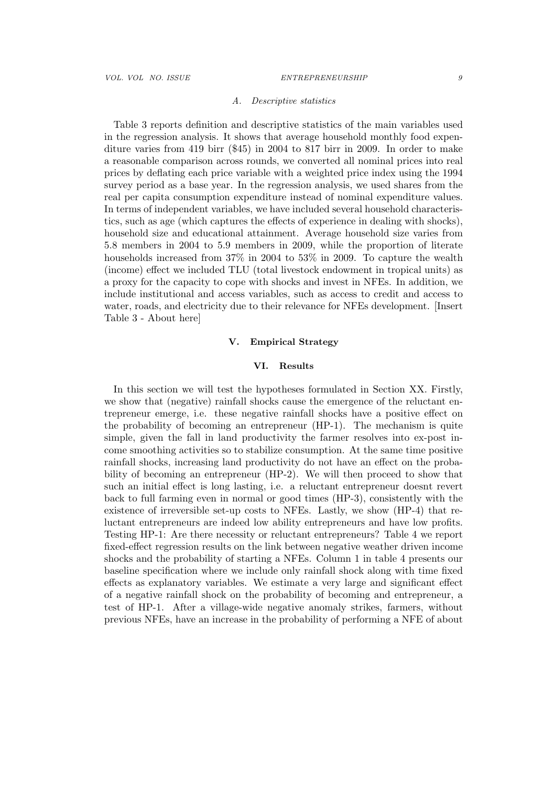#### A. Descriptive statistics

Table 3 reports definition and descriptive statistics of the main variables used in the regression analysis. It shows that average household monthly food expenditure varies from 419 birr (\$45) in 2004 to 817 birr in 2009. In order to make a reasonable comparison across rounds, we converted all nominal prices into real prices by deflating each price variable with a weighted price index using the 1994 survey period as a base year. In the regression analysis, we used shares from the real per capita consumption expenditure instead of nominal expenditure values. In terms of independent variables, we have included several household characteristics, such as age (which captures the effects of experience in dealing with shocks), household size and educational attainment. Average household size varies from 5.8 members in 2004 to 5.9 members in 2009, while the proportion of literate households increased from 37% in 2004 to 53% in 2009. To capture the wealth (income) effect we included TLU (total livestock endowment in tropical units) as a proxy for the capacity to cope with shocks and invest in NFEs. In addition, we include institutional and access variables, such as access to credit and access to water, roads, and electricity due to their relevance for NFEs development. [Insert Table 3 - About here]

# V. Empirical Strategy

# VI. Results

In this section we will test the hypotheses formulated in Section XX. Firstly, we show that (negative) rainfall shocks cause the emergence of the reluctant entrepreneur emerge, i.e. these negative rainfall shocks have a positive effect on the probability of becoming an entrepreneur (HP-1). The mechanism is quite simple, given the fall in land productivity the farmer resolves into ex-post income smoothing activities so to stabilize consumption. At the same time positive rainfall shocks, increasing land productivity do not have an effect on the probability of becoming an entrepreneur (HP-2). We will then proceed to show that such an initial effect is long lasting, i.e. a reluctant entrepreneur doesnt revert back to full farming even in normal or good times (HP-3), consistently with the existence of irreversible set-up costs to NFEs. Lastly, we show (HP-4) that reluctant entrepreneurs are indeed low ability entrepreneurs and have low profits. Testing HP-1: Are there necessity or reluctant entrepreneurs? Table 4 we report fixed-effect regression results on the link between negative weather driven income shocks and the probability of starting a NFEs. Column 1 in table 4 presents our baseline specification where we include only rainfall shock along with time fixed effects as explanatory variables. We estimate a very large and significant effect of a negative rainfall shock on the probability of becoming and entrepreneur, a test of HP-1. After a village-wide negative anomaly strikes, farmers, without previous NFEs, have an increase in the probability of performing a NFE of about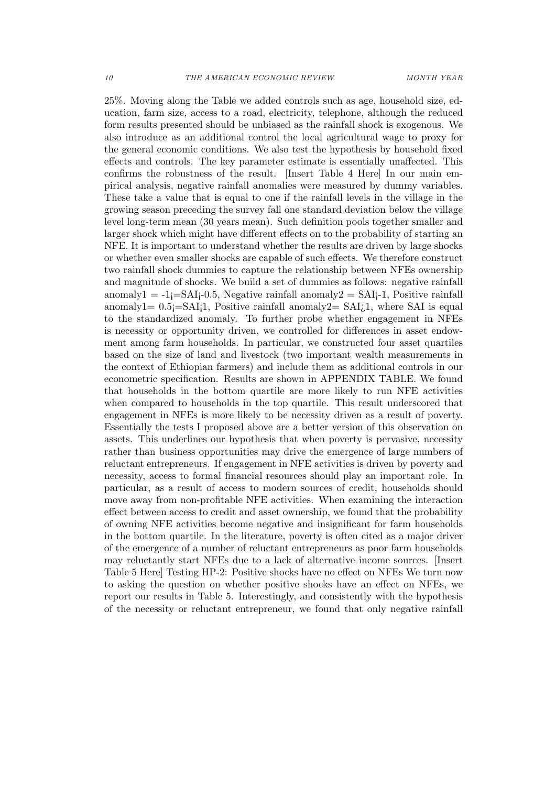25%. Moving along the Table we added controls such as age, household size, education, farm size, access to a road, electricity, telephone, although the reduced form results presented should be unbiased as the rainfall shock is exogenous. We also introduce as an additional control the local agricultural wage to proxy for the general economic conditions. We also test the hypothesis by household fixed effects and controls. The key parameter estimate is essentially unaffected. This confirms the robustness of the result. [Insert Table 4 Here] In our main empirical analysis, negative rainfall anomalies were measured by dummy variables. These take a value that is equal to one if the rainfall levels in the village in the growing season preceding the survey fall one standard deviation below the village level long-term mean (30 years mean). Such definition pools together smaller and larger shock which might have different effects on to the probability of starting an NFE. It is important to understand whether the results are driven by large shocks or whether even smaller shocks are capable of such effects. We therefore construct two rainfall shock dummies to capture the relationship between NFEs ownership and magnitude of shocks. We build a set of dummies as follows: negative rainfall anomaly1 =  $-1$ **j**=SAI<sub>i</sub>-0.5, Negative rainfall anomaly2 = SAI<sub>i</sub>-1, Positive rainfall anomaly1=  $0.5$ *j*=SAI<sub>i</sub>1, Positive rainfall anomaly2= SAI<sub>i</sub>1, where SAI is equal to the standardized anomaly. To further probe whether engagement in NFEs is necessity or opportunity driven, we controlled for differences in asset endowment among farm households. In particular, we constructed four asset quartiles based on the size of land and livestock (two important wealth measurements in the context of Ethiopian farmers) and include them as additional controls in our econometric specification. Results are shown in APPENDIX TABLE. We found that households in the bottom quartile are more likely to run NFE activities when compared to households in the top quartile. This result underscored that engagement in NFEs is more likely to be necessity driven as a result of poverty. Essentially the tests I proposed above are a better version of this observation on assets. This underlines our hypothesis that when poverty is pervasive, necessity rather than business opportunities may drive the emergence of large numbers of reluctant entrepreneurs. If engagement in NFE activities is driven by poverty and necessity, access to formal financial resources should play an important role. In particular, as a result of access to modern sources of credit, households should move away from non-profitable NFE activities. When examining the interaction effect between access to credit and asset ownership, we found that the probability of owning NFE activities become negative and insignificant for farm households in the bottom quartile. In the literature, poverty is often cited as a major driver of the emergence of a number of reluctant entrepreneurs as poor farm households may reluctantly start NFEs due to a lack of alternative income sources. [Insert Table 5 Here] Testing HP-2: Positive shocks have no effect on NFEs We turn now to asking the question on whether positive shocks have an effect on NFEs, we report our results in Table 5. Interestingly, and consistently with the hypothesis of the necessity or reluctant entrepreneur, we found that only negative rainfall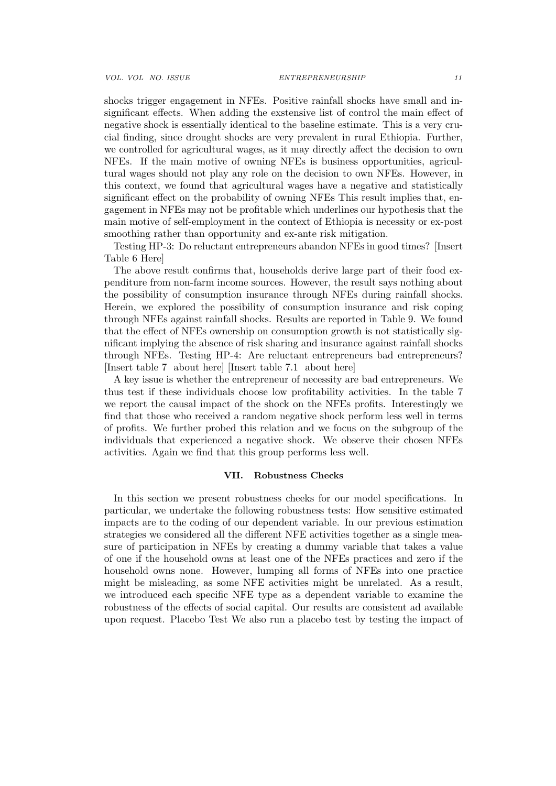shocks trigger engagement in NFEs. Positive rainfall shocks have small and insignificant effects. When adding the exstensive list of control the main effect of negative shock is essentially identical to the baseline estimate. This is a very crucial finding, since drought shocks are very prevalent in rural Ethiopia. Further, we controlled for agricultural wages, as it may directly affect the decision to own NFEs. If the main motive of owning NFEs is business opportunities, agricultural wages should not play any role on the decision to own NFEs. However, in this context, we found that agricultural wages have a negative and statistically significant effect on the probability of owning NFEs This result implies that, engagement in NFEs may not be profitable which underlines our hypothesis that the main motive of self-employment in the context of Ethiopia is necessity or ex-post smoothing rather than opportunity and ex-ante risk mitigation.

Testing HP-3: Do reluctant entrepreneurs abandon NFEs in good times? [Insert Table 6 Here]

The above result confirms that, households derive large part of their food expenditure from non-farm income sources. However, the result says nothing about the possibility of consumption insurance through NFEs during rainfall shocks. Herein, we explored the possibility of consumption insurance and risk coping through NFEs against rainfall shocks. Results are reported in Table 9. We found that the effect of NFEs ownership on consumption growth is not statistically significant implying the absence of risk sharing and insurance against rainfall shocks through NFEs. Testing HP-4: Are reluctant entrepreneurs bad entrepreneurs? [Insert table 7 about here] [Insert table 7.1 about here]

A key issue is whether the entrepreneur of necessity are bad entrepreneurs. We thus test if these individuals choose low profitability activities. In the table 7 we report the causal impact of the shock on the NFEs profits. Interestingly we find that those who received a random negative shock perform less well in terms of profits. We further probed this relation and we focus on the subgroup of the individuals that experienced a negative shock. We observe their chosen NFEs activities. Again we find that this group performs less well.

#### VII. Robustness Checks

In this section we present robustness cheeks for our model specifications. In particular, we undertake the following robustness tests: How sensitive estimated impacts are to the coding of our dependent variable. In our previous estimation strategies we considered all the different NFE activities together as a single measure of participation in NFEs by creating a dummy variable that takes a value of one if the household owns at least one of the NFEs practices and zero if the household owns none. However, lumping all forms of NFEs into one practice might be misleading, as some NFE activities might be unrelated. As a result, we introduced each specific NFE type as a dependent variable to examine the robustness of the effects of social capital. Our results are consistent ad available upon request. Placebo Test We also run a placebo test by testing the impact of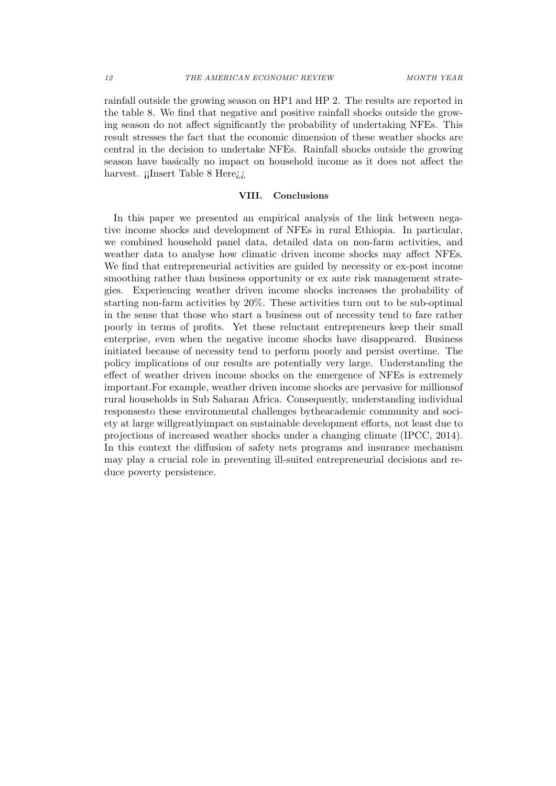rainfall outside the growing season on HP1 and HP 2. The results are reported in the table 8. We find that negative and positive rainfall shocks outside the growing season do not affect significantly the probability of undertaking NFEs. This result stresses the fact that the economic dimension of these weather shocks are central in the decision to undertake NFEs. Rainfall shocks outside the growing season have basically no impact on household income as it does not affect the harvest. ¡¡Insert Table 8 Here*¡*.

### VIII. Conclusions

In this paper we presented an empirical analysis of the link between negative income shocks and development of NFEs in rural Ethiopia. In particular, we combined household panel data, detailed data on non-farm activities, and weather data to analyse how climatic driven income shocks may affect NFEs. We find that entrepreneurial activities are guided by necessity or ex-post income smoothing rather than business opportunity or ex ante risk management strategies. Experiencing weather driven income shocks increases the probability of starting non-farm activities by 20%. These activities turn out to be sub-optimal in the sense that those who start a business out of necessity tend to fare rather poorly in terms of profits. Yet these reluctant entrepreneurs keep their small enterprise, even when the negative income shocks have disappeared. Business initiated because of necessity tend to perform poorly and persist overtime. The policy implications of our results are potentially very large. Understanding the effect of weather driven income shocks on the emergence of NFEs is extremely important.For example, weather driven income shocks are pervasive for millionsof rural households in Sub Saharan Africa. Consequently, understanding individual responsesto these environmental challenges bytheacademic community and society at large willgreatlyimpact on sustainable development efforts, not least due to projections of increased weather shocks under a changing climate (IPCC, 2014). In this context the diffusion of safety nets programs and insurance mechanism may play a crucial role in preventing ill-suited entrepreneurial decisions and reduce poverty persistence.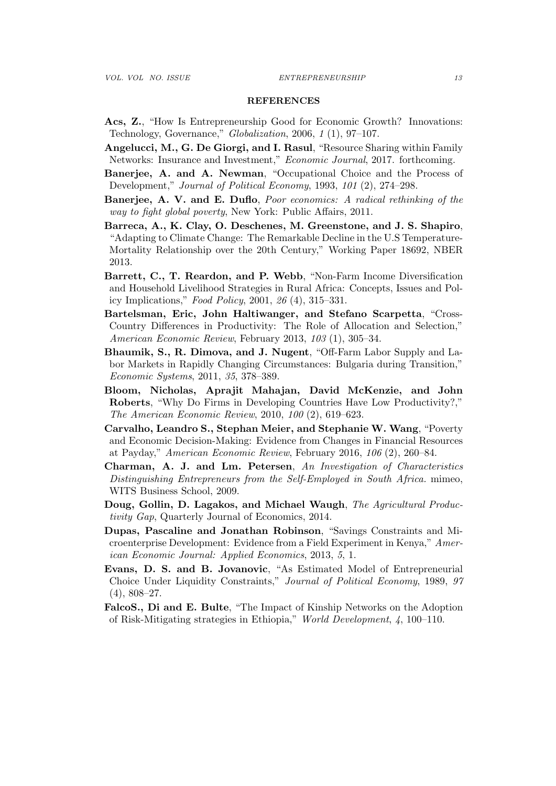#### REFERENCES

- Acs, Z., "How Is Entrepreneurship Good for Economic Growth? Innovations: Technology, Governance," Globalization, 2006, 1 (1), 97–107.
- Angelucci, M., G. De Giorgi, and I. Rasul, "Resource Sharing within Family Networks: Insurance and Investment," Economic Journal, 2017. forthcoming.
- Banerjee, A. and A. Newman, "Occupational Choice and the Process of Development," Journal of Political Economy, 1993, 101 (2), 274–298.
- Banerjee, A. V. and E. Duflo, Poor economics: A radical rethinking of the way to fight global poverty, New York: Public Affairs, 2011.
- Barreca, A., K. Clay, O. Deschenes, M. Greenstone, and J. S. Shapiro, "Adapting to Climate Change: The Remarkable Decline in the U.S Temperature-Mortality Relationship over the 20th Century," Working Paper 18692, NBER 2013.
- Barrett, C., T. Reardon, and P. Webb, "Non-Farm Income Diversification and Household Livelihood Strategies in Rural Africa: Concepts, Issues and Policy Implications," Food Policy, 2001, 26 (4), 315–331.
- Bartelsman, Eric, John Haltiwanger, and Stefano Scarpetta, "Cross-Country Differences in Productivity: The Role of Allocation and Selection," American Economic Review, February 2013, 103 (1), 305–34.
- Bhaumik, S., R. Dimova, and J. Nugent, "Off-Farm Labor Supply and Labor Markets in Rapidly Changing Circumstances: Bulgaria during Transition," Economic Systems, 2011, 35, 378–389.
- Bloom, Nicholas, Aprajit Mahajan, David McKenzie, and John Roberts, "Why Do Firms in Developing Countries Have Low Productivity?," The American Economic Review, 2010, 100 (2), 619–623.
- Carvalho, Leandro S., Stephan Meier, and Stephanie W. Wang, "Poverty and Economic Decision-Making: Evidence from Changes in Financial Resources at Payday," American Economic Review, February 2016, 106 (2), 260–84.
- Charman, A. J. and Lm. Petersen, An Investigation of Characteristics Distinguishing Entrepreneurs from the Self-Employed in South Africa. mimeo, WITS Business School, 2009.
- Doug, Gollin, D. Lagakos, and Michael Waugh, The Agricultural Productivity Gap, Quarterly Journal of Economics, 2014.
- Dupas, Pascaline and Jonathan Robinson, "Savings Constraints and Microenterprise Development: Evidence from a Field Experiment in Kenya," American Economic Journal: Applied Economics, 2013, 5, 1.
- Evans, D. S. and B. Jovanovic, "As Estimated Model of Entrepreneurial Choice Under Liquidity Constraints," Journal of Political Economy, 1989, 97 (4), 808–27.
- FalcoS., Di and E. Bulte, "The Impact of Kinship Networks on the Adoption of Risk-Mitigating strategies in Ethiopia," World Development, 4, 100–110.